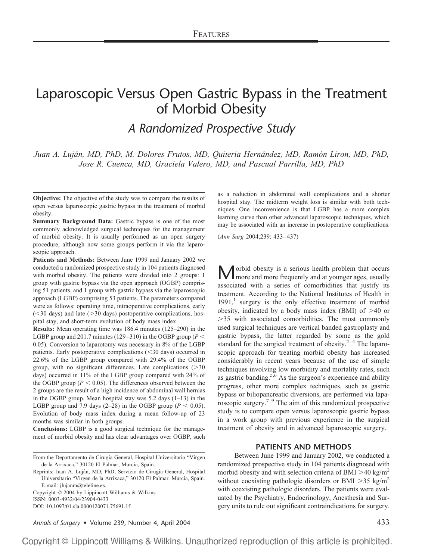# Laparoscopic Versus Open Gastric Bypass in the Treatment of Morbid Obesity

*A Randomized Prospective Study*

*Juan A. Luja´n, MD, PhD, M. Dolores Frutos, MD, Quiteria Herna´ndez, MD, Ramo´n Liron, MD, PhD, Jose R. Cuenca, MD, Graciela Valero, MD, and Pascual Parrilla, MD, PhD*

**Patients and Methods:** Between June 1999 and January 2002 we conducted a randomized prospective study in 104 patients diagnosed with morbid obesity. The patients were divided into 2 groups: 1 group with gastric bypass via the open approach (OGBP) comprising 51 patients, and 1 group with gastric bypass via the laparoscopic approach (LGBP) comprising 53 patients. The parameters compared were as follows: operating time, intraoperative complications, early  $(<$ 30 days) and late ( $>$ 30 days) postoperative complications, hospital stay, and short-term evolution of body mass index.

**Results:** Mean operating time was 186.4 minutes (125–290) in the LGBP group and 201.7 minutes (129–310) in the OGBP group ( $P \leq$ 0.05). Conversion to laparotomy was necessary in 8% of the LGBP patients. Early postoperative complications (30 days) occurred in 22.6% of the LGBP group compared with 29.4% of the OGBP group, with no significant differences. Late complications  $(>=30$ days) occurred in 11% of the LGBP group compared with 24% of the OGBP group ( $P < 0.05$ ). The differences observed between the 2 groups are the result of a high incidence of abdominal wall hernias in the OGBP group. Mean hospital stay was 5.2 days (1–13) in the LGBP group and 7.9 days (2–28) in the OGBP group ( $P < 0.05$ ). Evolution of body mass index during a mean follow-up of 23 months was similar in both groups.

**Conclusions:** LGBP is a good surgical technique for the management of morbid obesity and has clear advantages over OGBP, such

From the Departamento de Cirugía General, Hospital Universitario "Virgen de la Arrixaca," 30120 El Palmar, Murcia, Spain.

Copyright © 2004 by Lippincott Williams & Wilkins ISSN: 0003-4932/04/23904-0433 DOI: 10.1097/01.sla.0000120071.75691.1f

*Annals of Surgery* • Volume 239, Number 4, April 2004 **433** 

as a reduction in abdominal wall complications and a shorter hospital stay. The midterm weight loss is similar with both techniques. One inconvenience is that LGBP has a more complex learning curve than other advanced laparoscopic techniques, which may be associated with an increase in postoperative complications.

(*Ann Surg* 2004;239: 433–437)

**M** orbid obesity is a serious health problem that occurs<br>more and more frequently and at younger ages, usually associated with a series of comorbidities that justify its treatment. According to the National Institutes of Health in  $1991$ ,<sup>1</sup> surgery is the only effective treatment of morbid obesity, indicated by a body mass index (BMI) of  $>40$  or -35 with associated comorbidities. The most commonly used surgical techniques are vertical banded gastroplasty and gastric bypass, the latter regarded by some as the gold standard for the surgical treatment of obesity. $2^{-4}$  The laparoscopic approach for treating morbid obesity has increased considerably in recent years because of the use of simple techniques involving low morbidity and mortality rates, such as gastric banding.<sup>5,6</sup> As the surgeon's experience and ability progress, other more complex techniques, such as gastric bypass or biliopancreatic diversions, are performed via laparoscopic surgery. $7-9$  The aim of this randomized prospective study is to compare open versus laparoscopic gastric bypass in a work group with previous experience in the surgical treatment of obesity and in advanced laparoscopic surgery.

## **PATIENTS AND METHODS**

Between June 1999 and January 2002, we conducted a randomized prospective study in 104 patients diagnosed with morbid obesity and with selection criteria of BMI  $>$  40 kg/m<sup>2</sup> without coexisting pathologic disorders or BMI  $>$ 35 kg/m<sup>2</sup> with coexisting pathologic disorders. The patients were evaluated by the Psychiatry, Endocrinology, Anesthesia and Surgery units to rule out significant contraindications for surgery.

Copyright © Lippincott Williams & Wilkins. Unauthorized reproduction of this article is prohibited.

**Objective:** The objective of the study was to compare the results of open versus laparoscopic gastric bypass in the treatment of morbid obesity.

**Summary Background Data:** Gastric bypass is one of the most commonly acknowledged surgical techniques for the management of morbid obesity. It is usually performed as an open surgery procedure, although now some groups perform it via the laparoscopic approach.

Reprints: Juan A. Luján, MD, PhD, Servicio de Cirugía General, Hospital Universitario "Virgen de la Arrixaca," 30120 El Palmar. Murcia, Spain. E-mail: jlujanm@teleline.es.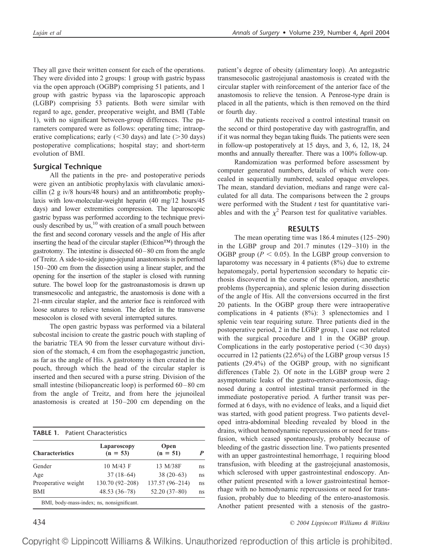They all gave their written consent for each of the operations. They were divided into 2 groups: 1 group with gastric bypass via the open approach (OGBP) comprising 51 patients, and 1 group with gastric bypass via the laparoscopic approach (LGBP) comprising 53 patients. Both were similar with regard to age, gender, preoperative weight, and BMI (Table 1), with no significant between-group differences. The parameters compared were as follows: operating time; intraoperative complications; early  $(<$  30 days) and late ( $>$ 30 days) postoperative complications; hospital stay; and short-term evolution of BMI.

## **Surgical Technique**

All the patients in the pre- and postoperative periods were given an antibiotic prophylaxis with clavulanic amoxicillin (2 g iv/8 hours/48 hours) and an antithrombotic prophylaxis with low-molecular-weight heparin (40 mg/12 hours/45 days) and lower extremities compression. The laparoscopic gastric bypass was performed according to the technique previously described by us,<sup>10</sup> with creation of a small pouch between the first and second coronary vessels and the angle of His after inserting the head of the circular stapler (Ethicon™) through the gastrotomy. The intestine is dissected 60–80 cm from the angle of Treitz. A side-to-side jejuno-jejunal anastomosis is performed 150–200 cm from the dissection using a linear stapler, and the opening for the insertion of the stapler is closed with running suture. The bowel loop for the gastroanastomosis is drawn up transmesocolic and antegastric, the anastomosis is done with a 21-mm circular stapler, and the anterior face is reinforced with loose sutures to relieve tension. The defect in the transverse mesocolon is closed with several interrupted sutures.

The open gastric bypass was performed via a bilateral subcostal incision to create the gastric pouch with stapling of the bariatric TEA 90 from the lesser curvature without division of the stomach, 4 cm from the esophagogastric junction, as far as the angle of His. A gastrotomy is then created in the pouch, through which the head of the circular stapler is inserted and then secured with a purse string. Division of the small intestine (biliopancreatic loop) is performed  $60-80$  cm from the angle of Treitz, and from here the jejunoileal anastomosis is created at 150–200 cm depending on the

| <b>TABLE 1.</b> Patient Characteristics |                                           |                    |    |
|-----------------------------------------|-------------------------------------------|--------------------|----|
| <b>Characteristics</b>                  | Laparoscopy<br>$(n = 53)$                 | Open<br>$(n = 51)$ | P  |
| Gender                                  | 10 M/43 F                                 | 13 M/38F           | ns |
| Age                                     | $37(18-64)$                               | $38(20-63)$        | ns |
| Preoperative weight                     | 130.70 (92-208)                           | 137.57 (96-214)    | ns |
| <b>BMI</b>                              | $48.53(36-78)$                            | $52.20(37-80)$     | ns |
|                                         | BMI, body-mass-index; ns, nonsignificant. |                    |    |

patient's degree of obesity (alimentary loop). An antegastric transmesocolic gastrojejunal anastomosis is created with the circular stapler with reinforcement of the anterior face of the anastomosis to relieve the tension. A Penrose-type drain is placed in all the patients, which is then removed on the third or fourth day.

All the patients received a control intestinal transit on the second or third postoperative day with gastrograffin, and if it was normal they began taking fluids. The patients were seen in follow-up postoperatively at 15 days, and 3, 6, 12, 18, 24 months and annually thereafter. There was a 100% follow-up.

Randomization was performed before assessment by computer generated numbers, details of which were concealed in sequentially numbered, sealed opaque envelopes. The mean, standard deviation, medians and range were calculated for all data. The comparisons between the 2 groups were performed with the Student *t* test for quantitative variables and with the  $\chi^2$  Pearson test for qualitative variables.

## **RESULTS**

The mean operating time was 186.4 minutes (125–290) in the LGBP group and 201.7 minutes (129–310) in the OGBP group ( $P < 0.05$ ). In the LGBP group conversion to laparotomy was necessary in 4 patients (8%) due to extreme hepatomegaly, portal hypertension secondary to hepatic cirrhosis discovered in the course of the operation, anesthetic problems (hypercapnia), and splenic lesion during dissection of the angle of His. All the conversions occurred in the first 20 patients. In the OGBP group there were intraoperative complications in 4 patients (8%): 3 splenectomies and 1 splenic vein tear requiring suture. Three patients died in the postoperative period, 2 in the LGBP group, 1 case not related with the surgical procedure and 1 in the OGBP group. Complications in the early postoperative period  $(<$ 30 days) occurred in 12 patients (22.6%) of the LGBP group versus 15 patients (29.4%) of the OGBP group, with no significant differences (Table 2). Of note in the LGBP group were 2 asymptomatic leaks of the gastro-entero-anastomosis, diagnosed during a control intestinal transit performed in the immediate postoperative period. A further transit was performed at 6 days, with no evidence of leaks, and a liquid diet was started, with good patient progress. Two patients developed intra-abdominal bleeding revealed by blood in the drains, without hemodynamic repercussions or need for transfusion, which ceased spontaneously, probably because of bleeding of the gastric dissection line. Two patients presented with an upper gastrointestinal hemorrhage, 1 requiring blood transfusion, with bleeding at the gastrojejunal anastomosis, which sclerosed with upper gastrointestinal endoscopy. Another patient presented with a lower gastrointestinal hemorrhage with no hemodynamic repercussions or need for transfusion, probably due to bleeding of the entero-anastomosis. Another patient presented with a stenosis of the gastro-

434 *© 2004 Lippincott Williams & Wilkins*

Copyright © Lippincott Williams & Wilkins. Unauthorized reproduction of this article is prohibited.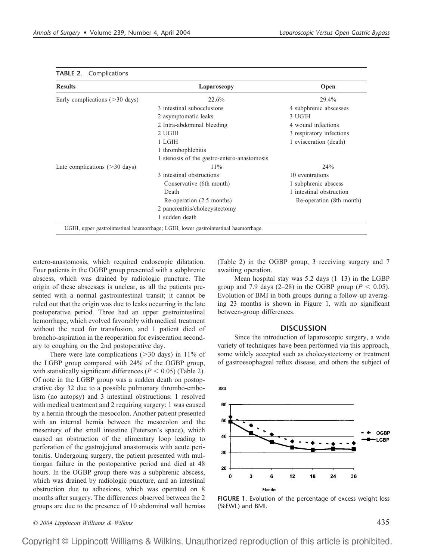| <b>Results</b>                    | Laparoscopy                                 | Open                     |
|-----------------------------------|---------------------------------------------|--------------------------|
| Early complications $($ >30 days) | 22.6%                                       | 29.4%                    |
|                                   | 3 intestinal subocclusions                  | 4 subphrenic abscesses   |
|                                   | 2 asymptomatic leaks                        | 3 UGIH                   |
|                                   | 2 Intra-abdominal bleeding                  | 4 wound infections       |
|                                   | 2 UGIH                                      | 3 respiratory infections |
|                                   | 1 LGIH                                      | 1 evisceration (death)   |
|                                   | 1 thrombophlebitis                          |                          |
|                                   | 1 stenosis of the gastro-entero-anastomosis |                          |
| Late complications $($ >30 days)  | $11\%$                                      | 24%                      |
|                                   | 3 intestinal obstructions                   | 10 eventrations          |
|                                   | Conservative (6th month)                    | 1 subphrenic abscess     |
|                                   | Death                                       | 1 intestinal obstruction |
|                                   | Re-operation (2.5 months)                   | Re-operation (8th month) |
|                                   | 2 pancreatitis/cholecystectomy              |                          |
|                                   | 1 sudden death                              |                          |

#### **TABLE 2.** Complications

entero-anastomosis, which required endoscopic dilatation. Four patients in the OGBP group presented with a subphrenic abscess, which was drained by radiologic puncture. The origin of these abscesses is unclear, as all the patients presented with a normal gastrointestinal transit; it cannot be ruled out that the origin was due to leaks occurring in the late postoperative period. Three had an upper gastrointestinal hemorrhage, which evolved favorably with medical treatment without the need for transfusion, and 1 patient died of broncho-aspiration in the reoperation for evisceration secondary to coughing on the 2nd postoperative day.

There were late complications  $(>= 30 \text{ days})$  in 11% of the LGBP group compared with 24% of the OGBP group, with statistically significant differences  $(P < 0.05)$  (Table 2). Of note in the LGBP group was a sudden death on postoperative day 32 due to a possible pulmonary thrombo-embolism (no autopsy) and 3 intestinal obstructions: 1 resolved with medical treatment and 2 requiring surgery: 1 was caused by a hernia through the mesocolon. Another patient presented with an internal hernia between the mesocolon and the mesentery of the small intestine (Peterson's space), which caused an obstruction of the alimentary loop leading to perforation of the gastrojejunal anastomosis with acute peritonitis. Undergoing surgery, the patient presented with multiorgan failure in the postoperative period and died at 48 hours. In the OGBP group there was a subphrenic abscess, which was drained by radiologic puncture, and an intestinal obstruction due to adhesions, which was operated on 8 months after surgery. The differences observed between the 2 groups are due to the presence of 10 abdominal wall hernias

(Table 2) in the OGBP group, 3 receiving surgery and 7 awaiting operation.

Mean hospital stay was  $5.2$  days  $(1-13)$  in the LGBP group and 7.9 days (2–28) in the OGBP group ( $P < 0.05$ ). Evolution of BMI in both groups during a follow-up averaging 23 months is shown in Figure 1, with no significant between-group differences.

#### **DISCUSSION**

Since the introduction of laparoscopic surgery, a wide variety of techniques have been performed via this approach, some widely accepted such as cholecystectomy or treatment of gastroesophageal reflux disease, and others the subject of



**FIGURE 1.** Evolution of the percentage of excess weight loss (%EWL) and BMI.

Copyright © Lippincott Williams & Wilkins. Unauthorized reproduction of this article is prohibited.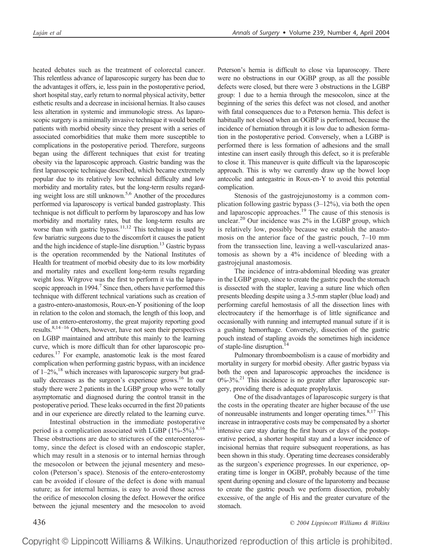heated debates such as the treatment of colorectal cancer. This relentless advance of laparoscopic surgery has been due to the advantages it offers, ie, less pain in the postoperative period, short hospital stay, early return to normal physical activity, better esthetic results and a decrease in incisional hernias. It also causes less alteration in systemic and immunologic stress. As laparoscopic surgery is a minimally invasive technique it would benefit patients with morbid obesity since they present with a series of associated comorbidities that make them more susceptible to complications in the postoperative period. Therefore, surgeons began using the different techniques that exist for treating obesity via the laparoscopic approach. Gastric banding was the first laparoscopic technique described, which became extremely popular due to its relatively low technical difficulty and low morbidity and mortality rates, but the long-term results regarding weight loss are still unknown.5,6 Another of the procedures performed via laparoscopy is vertical banded gastroplasty. This technique is not difficult to perform by laparoscopy and has low morbidity and mortality rates, but the long-term results are worse than with gastric bypass.<sup>11,12</sup> This technique is used by few bariatric surgeons due to the discomfort it causes the patient and the high incidence of staple-line disruption.<sup>13</sup> Gastric bypass is the operation recommended by the National Institutes of Health for treatment of morbid obesity due to its low morbidity and mortality rates and excellent long-term results regarding weight loss. Witgrove was the first to perform it via the laparoscopic approach in 1994.<sup>7</sup> Since then, others have performed this technique with different technical variations such as creation of a gastro-entero-anastomosis, Roux-en-Y positioning of the loop in relation to the colon and stomach, the length of this loop, and use of an entero-enterostomy, the great majority reporting good results. $8,14-16$  Others, however, have not seen their perspectives on LGBP maintained and attribute this mainly to the learning curve, which is more difficult than for other laparoscopic procedures.17 For example, anastomotic leak is the most feared complication when performing gastric bypass, with an incidence of  $1-2\%$ ,<sup>18</sup> which increases with laparoscopic surgery but gradually decreases as the surgeon's experience grows.16 In our study there were 2 patients in the LGBP group who were totally asymptomatic and diagnosed during the control transit in the postoperative period. These leaks occurred in the first 20 patients and in our experience are directly related to the learning curve.

Intestinal obstruction in the immediate postoperative period is a complication associated with LGBP  $(1\% - 5\%)$ .<sup>8,16</sup> These obstructions are due to strictures of the enteroenterostomy, since the defect is closed with an endoscopic stapler, which may result in a stenosis or to internal hernias through the mesocolon or between the jejunal mesentery and mesocolon (Peterson's space). Stenosis of the entero-enterostomy can be avoided if closure of the defect is done with manual suture; as for internal hernias, is easy to avoid those across the orifice of mesocolon closing the defect. However the orifice between the jejunal mesentery and the mesocolon to avoid Peterson's hernia is difficult to close via laparoscopy. There were no obstructions in our OGBP group, as all the possible defects were closed, but there were 3 obstructions in the LGBP group: 1 due to a hernia through the mesocolon, since at the beginning of the series this defect was not closed, and another with fatal consequences due to a Peterson hernia. This defect is habitually not closed when an OGBP is performed, because the incidence of herniation through it is low due to adhesion formation in the postoperative period. Conversely, when a LGBP is performed there is less formation of adhesions and the small intestine can insert easily through this defect, so it is preferable to close it. This maneuver is quite difficult via the laparoscopic approach. This is why we currently draw up the bowel loop antecolic and antegastric in Roux-en-Y to avoid this potential complication.

Stenosis of the gastrojejunostomy is a common complication following gastric bypass (3–12%), via both the open and laparoscopic approaches.<sup>19</sup> The cause of this stenosis is unclear.<sup>20</sup> Our incidence was 2% in the LGBP group, which is relatively low, possibly because we establish the anastomosis on the anterior face of the gastric pouch, 7–10 mm from the transsection line, leaving a well-vascularized anastomosis as shown by a 4% incidence of bleeding with a gastrojejunal anastomosis.

The incidence of intra-abdominal bleeding was greater in the LGBP group, since to create the gastric pouch the stomach is dissected with the stapler, leaving a suture line which often presents bleeding despite using a 3.5-mm stapler (blue load) and performing careful hemostasis of all the dissection lines with electrocautery if the hemorrhage is of little significance and occasionally with running and interrupted manual suture if it is a gushing hemorrhage. Conversely, dissection of the gastric pouch instead of stapling avoids the sometimes high incidence of staple-line disruption.<sup>14</sup>

Pulmonary thromboembolism is a cause of morbidity and mortality in surgery for morbid obesity. After gastric bypass via both the open and laparoscopic approaches the incidence is  $0\%$ -3%<sup>21</sup>. This incidence is no greater after laparoscopic surgery, providing there is adequate prophylaxis.

One of the disadvantages of laparoscopic surgery is that the costs in the operating theater are higher because of the use of nonreusable instruments and longer operating times. $8,17$  This increase in intraoperative costs may be compensated by a shorter intensive care stay during the first hours or days of the postoperative period, a shorter hospital stay and a lower incidence of incisional hernias that require subsequent reoperations, as has been shown in this study. Operating time decreases considerably as the surgeon's experience progresses. In our experience, operating time is longer in OGBP, probably because of the time spent during opening and closure of the laparotomy and because to create the gastric pouch we perform dissection, probably excessive, of the angle of His and the greater curvature of the stomach.

436 *© 2004 Lippincott Williams & Wilkins*